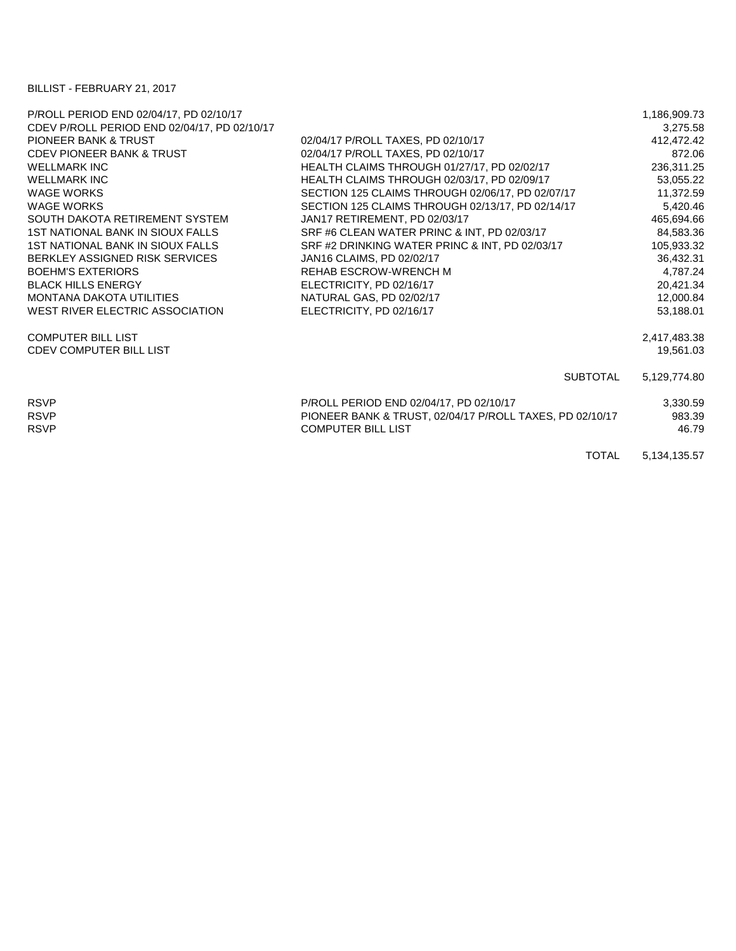## BILLIST - FEBRUARY 21, 2017

| 1,186,909.73    |
|-----------------|
| 3,275.58        |
| 412,472.42      |
| 872.06          |
| 236,311.25      |
| 53,055.22       |
| 11,372.59       |
| 5,420.46        |
| 465,694.66      |
| 84,583.36       |
| 105,933.32      |
| 36,432.31       |
| 4,787.24        |
| 20,421.34       |
| 12,000.84       |
| 53,188.01       |
| 2,417,483.38    |
| 19,561.03       |
| 5,129,774.80    |
| 3,330.59        |
| 983.39          |
| 46.79           |
| 5, 134, 135. 57 |
|                 |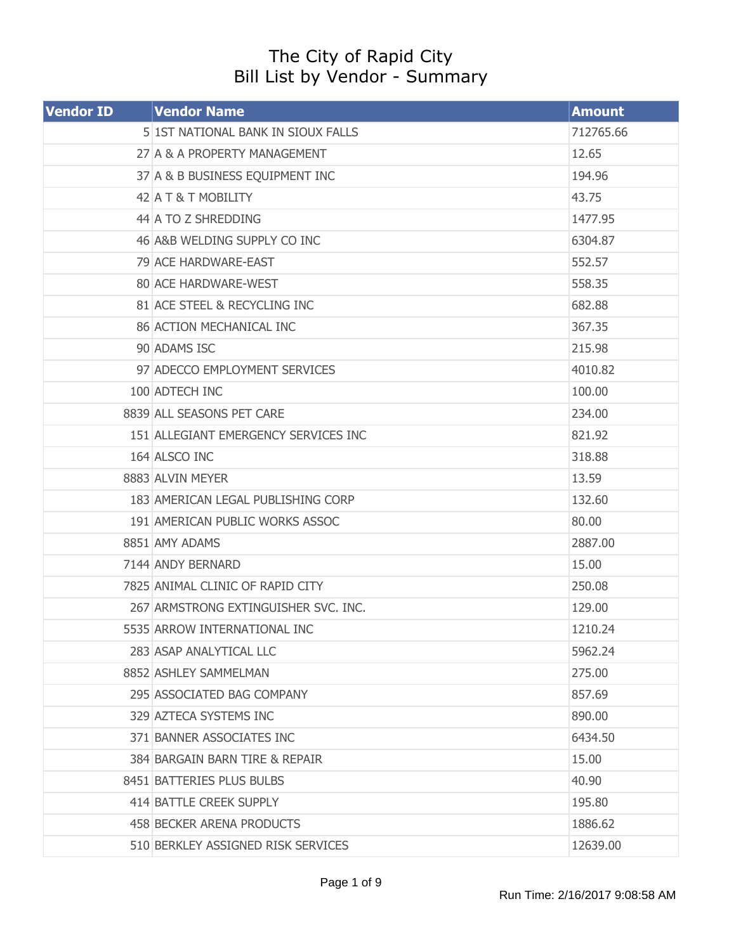## The City of Rapid City Bill List by Vendor - Summary

| <b>Vendor ID</b> | <b>Vendor Name</b>                   | <b>Amount</b> |
|------------------|--------------------------------------|---------------|
|                  | 5 1ST NATIONAL BANK IN SIOUX FALLS   | 712765.66     |
|                  | 27 A & A PROPERTY MANAGEMENT         | 12.65         |
|                  | 37 A & B BUSINESS EQUIPMENT INC      | 194.96        |
|                  | 42 A T & T MOBILITY                  | 43.75         |
|                  | 44 A TO Z SHREDDING                  | 1477.95       |
|                  | 46 A&B WELDING SUPPLY CO INC         | 6304.87       |
|                  | 79 ACE HARDWARE-EAST                 | 552.57        |
|                  | 80 ACE HARDWARE-WEST                 | 558.35        |
|                  | 81 ACE STEEL & RECYCLING INC         | 682.88        |
|                  | <b>86 ACTION MECHANICAL INC</b>      | 367.35        |
|                  | 90 ADAMS ISC                         | 215.98        |
|                  | 97 ADECCO EMPLOYMENT SERVICES        | 4010.82       |
|                  | 100 ADTECH INC                       | 100.00        |
|                  | 8839 ALL SEASONS PET CARE            | 234.00        |
|                  | 151 ALLEGIANT EMERGENCY SERVICES INC | 821.92        |
|                  | 164 ALSCO INC                        | 318.88        |
|                  | 8883 ALVIN MEYER                     | 13.59         |
|                  | 183 AMERICAN LEGAL PUBLISHING CORP   | 132.60        |
|                  | 191 AMERICAN PUBLIC WORKS ASSOC      | 80.00         |
|                  | 8851 AMY ADAMS                       | 2887.00       |
|                  | 7144 ANDY BERNARD                    | 15.00         |
|                  | 7825 ANIMAL CLINIC OF RAPID CITY     | 250.08        |
|                  | 267 ARMSTRONG EXTINGUISHER SVC. INC. | 129.00        |
|                  | 5535 ARROW INTERNATIONAL INC         | 1210.24       |
|                  | 283 ASAP ANALYTICAL LLC              | 5962.24       |
|                  | 8852 ASHLEY SAMMELMAN                | 275.00        |
|                  | 295 ASSOCIATED BAG COMPANY           | 857.69        |
|                  | 329 AZTECA SYSTEMS INC               | 890.00        |
|                  | 371 BANNER ASSOCIATES INC            | 6434.50       |
|                  | 384 BARGAIN BARN TIRE & REPAIR       | 15.00         |
|                  | 8451 BATTERIES PLUS BULBS            | 40.90         |
|                  | 414 BATTLE CREEK SUPPLY              | 195.80        |
|                  | 458 BECKER ARENA PRODUCTS            | 1886.62       |
|                  | 510 BERKLEY ASSIGNED RISK SERVICES   | 12639.00      |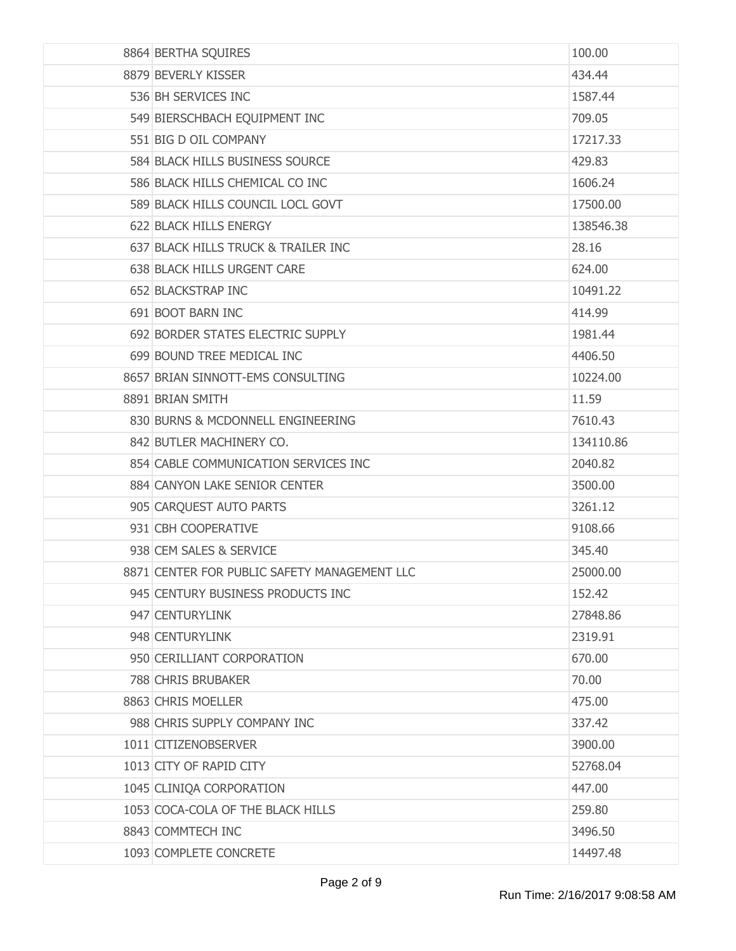| 8864 BERTHA SQUIRES                          | 100.00    |
|----------------------------------------------|-----------|
| 8879 BEVERLY KISSER                          | 434.44    |
| 536 BH SERVICES INC                          | 1587.44   |
| 549 BIERSCHBACH EQUIPMENT INC                | 709.05    |
| 551 BIG D OIL COMPANY                        | 17217.33  |
| 584 BLACK HILLS BUSINESS SOURCE              | 429.83    |
| 586 BLACK HILLS CHEMICAL CO INC              | 1606.24   |
| 589 BLACK HILLS COUNCIL LOCL GOVT            | 17500.00  |
| 622 BLACK HILLS ENERGY                       | 138546.38 |
| 637 BLACK HILLS TRUCK & TRAILER INC          | 28.16     |
| 638 BLACK HILLS URGENT CARE                  | 624.00    |
| 652 BLACKSTRAP INC                           | 10491.22  |
| 691 BOOT BARN INC                            | 414.99    |
| 692 BORDER STATES ELECTRIC SUPPLY            | 1981.44   |
| 699 BOUND TREE MEDICAL INC                   | 4406.50   |
| 8657 BRIAN SINNOTT-EMS CONSULTING            | 10224.00  |
| 8891 BRIAN SMITH                             | 11.59     |
| 830 BURNS & MCDONNELL ENGINEERING            | 7610.43   |
| 842 BUTLER MACHINERY CO.                     | 134110.86 |
| 854 CABLE COMMUNICATION SERVICES INC         | 2040.82   |
| 884 CANYON LAKE SENIOR CENTER                | 3500.00   |
| 905 CARQUEST AUTO PARTS                      | 3261.12   |
| 931 CBH COOPERATIVE                          | 9108.66   |
| 938 CEM SALES & SERVICE                      | 345.40    |
| 8871 CENTER FOR PUBLIC SAFETY MANAGEMENT LLC | 25000.00  |
| 945 CENTURY BUSINESS PRODUCTS INC            | 152.42    |
| 947 CENTURYLINK                              | 27848.86  |
| 948 CENTURYLINK                              | 2319.91   |
| 950 CERILLIANT CORPORATION                   | 670.00    |
| 788 CHRIS BRUBAKER                           | 70.00     |
| 8863 CHRIS MOELLER                           | 475.00    |
| 988 CHRIS SUPPLY COMPANY INC                 | 337.42    |
| 1011 CITIZENOBSERVER                         | 3900.00   |
| 1013 CITY OF RAPID CITY                      | 52768.04  |
| 1045 CLINIQA CORPORATION                     | 447.00    |
| 1053 COCA-COLA OF THE BLACK HILLS            | 259.80    |
| 8843 COMMTECH INC                            | 3496.50   |
| 1093 COMPLETE CONCRETE                       | 14497.48  |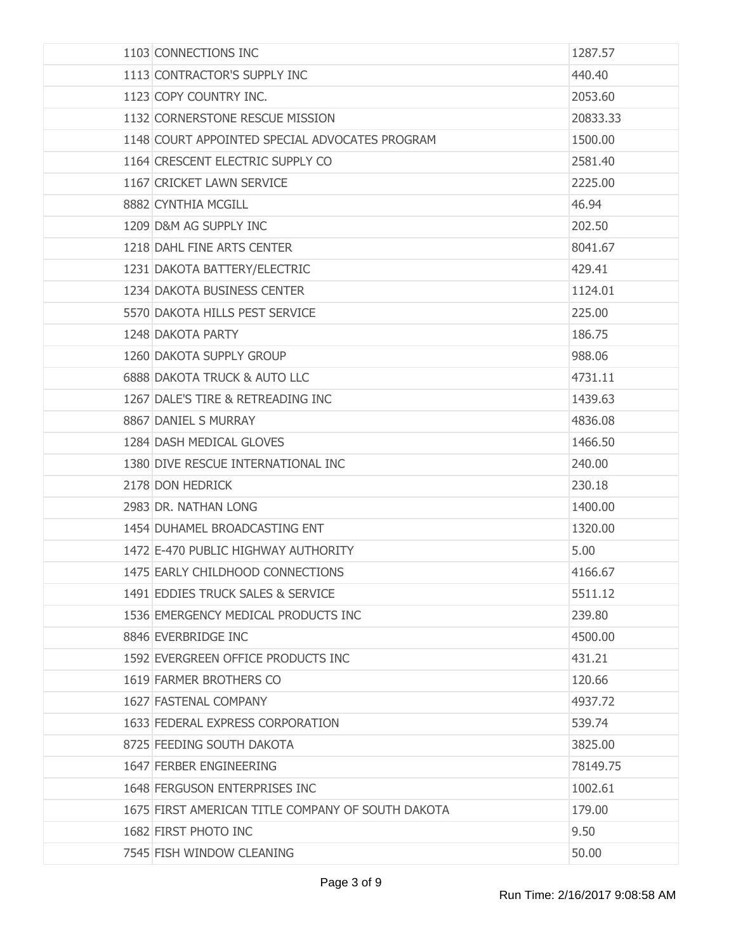| 1103 CONNECTIONS INC                              | 1287.57  |
|---------------------------------------------------|----------|
| 1113 CONTRACTOR'S SUPPLY INC                      | 440.40   |
| 1123 COPY COUNTRY INC.                            | 2053.60  |
| 1132 CORNERSTONE RESCUE MISSION                   | 20833.33 |
| 1148 COURT APPOINTED SPECIAL ADVOCATES PROGRAM    | 1500.00  |
| 1164 CRESCENT ELECTRIC SUPPLY CO                  | 2581.40  |
| 1167 CRICKET LAWN SERVICE                         | 2225.00  |
| 8882 CYNTHIA MCGILL                               | 46.94    |
| 1209 D&M AG SUPPLY INC                            | 202.50   |
| 1218 DAHL FINE ARTS CENTER                        | 8041.67  |
| 1231 DAKOTA BATTERY/ELECTRIC                      | 429.41   |
| 1234 DAKOTA BUSINESS CENTER                       | 1124.01  |
| 5570 DAKOTA HILLS PEST SERVICE                    | 225.00   |
| 1248 DAKOTA PARTY                                 | 186.75   |
| 1260 DAKOTA SUPPLY GROUP                          | 988.06   |
| 6888 DAKOTA TRUCK & AUTO LLC                      | 4731.11  |
| 1267 DALE'S TIRE & RETREADING INC                 | 1439.63  |
| 8867 DANIEL S MURRAY                              | 4836.08  |
| 1284 DASH MEDICAL GLOVES                          | 1466.50  |
| 1380 DIVE RESCUE INTERNATIONAL INC                | 240.00   |
| 2178 DON HEDRICK                                  | 230.18   |
| 2983 DR. NATHAN LONG                              | 1400.00  |
| 1454 DUHAMEL BROADCASTING ENT                     | 1320,00  |
| 1472 E-470 PUBLIC HIGHWAY AUTHORITY               | 5.00     |
| 1475 EARLY CHILDHOOD CONNECTIONS                  | 4166.67  |
| 1491 EDDIES TRUCK SALES & SERVICE                 | 5511.12  |
| 1536 EMERGENCY MEDICAL PRODUCTS INC               | 239.80   |
| 8846 EVERBRIDGE INC                               | 4500,00  |
| 1592 EVERGREEN OFFICE PRODUCTS INC                | 431.21   |
| 1619 FARMER BROTHERS CO                           | 120.66   |
| 1627 FASTENAL COMPANY                             | 4937.72  |
| 1633 FEDERAL EXPRESS CORPORATION                  | 539.74   |
| 8725 FEEDING SOUTH DAKOTA                         | 3825.00  |
| 1647 FERBER ENGINEERING                           | 78149.75 |
| 1648 FERGUSON ENTERPRISES INC                     | 1002.61  |
| 1675 FIRST AMERICAN TITLE COMPANY OF SOUTH DAKOTA | 179.00   |
| 1682 FIRST PHOTO INC                              | 9.50     |
| 7545 FISH WINDOW CLEANING                         | 50.00    |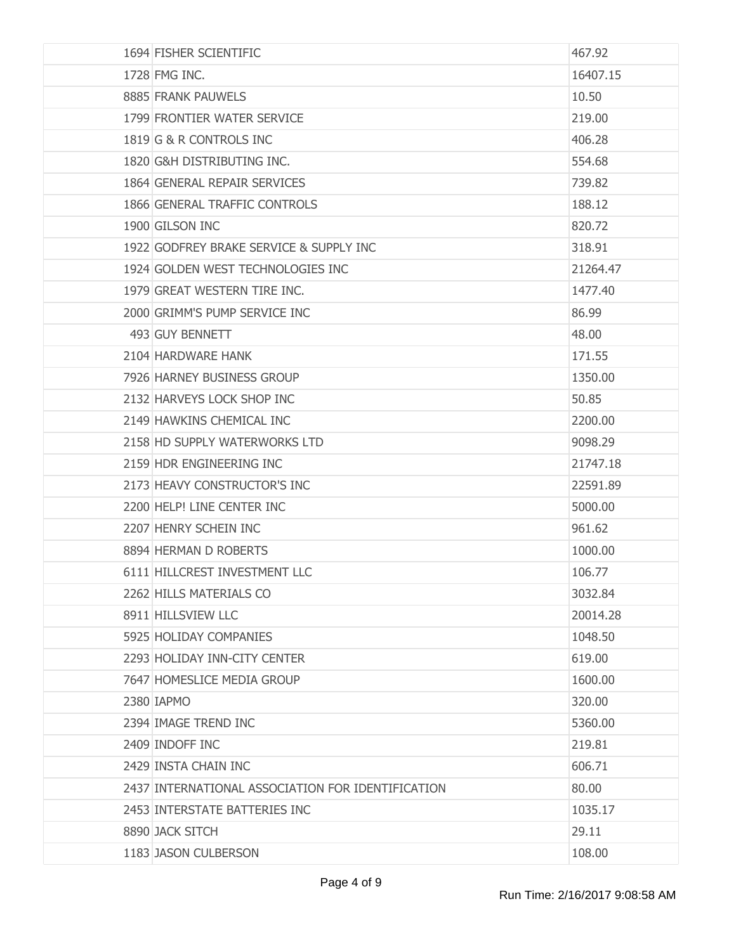| 1694 FISHER SCIENTIFIC                            | 467.92   |
|---------------------------------------------------|----------|
| 1728 FMG INC.                                     | 16407.15 |
| 8885 FRANK PAUWELS                                | 10.50    |
| 1799 FRONTIER WATER SERVICE                       | 219.00   |
| 1819 G & R CONTROLS INC                           | 406.28   |
| 1820 G&H DISTRIBUTING INC.                        | 554.68   |
| 1864 GENERAL REPAIR SERVICES                      | 739.82   |
| 1866 GENERAL TRAFFIC CONTROLS                     | 188.12   |
| 1900 GILSON INC                                   | 820.72   |
| 1922 GODFREY BRAKE SERVICE & SUPPLY INC           | 318.91   |
| 1924 GOLDEN WEST TECHNOLOGIES INC                 | 21264.47 |
| 1979 GREAT WESTERN TIRE INC.                      | 1477.40  |
| 2000 GRIMM'S PUMP SERVICE INC                     | 86.99    |
| 493 GUY BENNETT                                   | 48.00    |
| 2104 HARDWARE HANK                                | 171.55   |
| 7926 HARNEY BUSINESS GROUP                        | 1350.00  |
| 2132 HARVEYS LOCK SHOP INC                        | 50.85    |
| 2149 HAWKINS CHEMICAL INC                         | 2200.00  |
| 2158 HD SUPPLY WATERWORKS LTD                     | 9098.29  |
| 2159 HDR ENGINEERING INC                          | 21747.18 |
| 2173 HEAVY CONSTRUCTOR'S INC                      | 22591.89 |
| 2200 HELP! LINE CENTER INC                        | 5000.00  |
| 2207 HENRY SCHEIN INC                             | 961.62   |
| 8894 HERMAN D ROBERTS                             | 1000.00  |
| 6111 HILLCREST INVESTMENT LLC                     | 106.77   |
| 2262 HILLS MATERIALS CO                           | 3032.84  |
| 8911 HILLSVIEW LLC                                | 20014.28 |
| 5925 HOLIDAY COMPANIES                            | 1048.50  |
| 2293 HOLIDAY INN-CITY CENTER                      | 619.00   |
| 7647 HOMESLICE MEDIA GROUP                        | 1600.00  |
| 2380 IAPMO                                        | 320.00   |
| 2394 IMAGE TREND INC                              | 5360.00  |
| 2409 INDOFF INC                                   | 219.81   |
| 2429 INSTA CHAIN INC                              | 606.71   |
| 2437 INTERNATIONAL ASSOCIATION FOR IDENTIFICATION | 80.00    |
| 2453 INTERSTATE BATTERIES INC                     | 1035.17  |
| 8890 JACK SITCH                                   | 29.11    |
| 1183 JASON CULBERSON                              | 108.00   |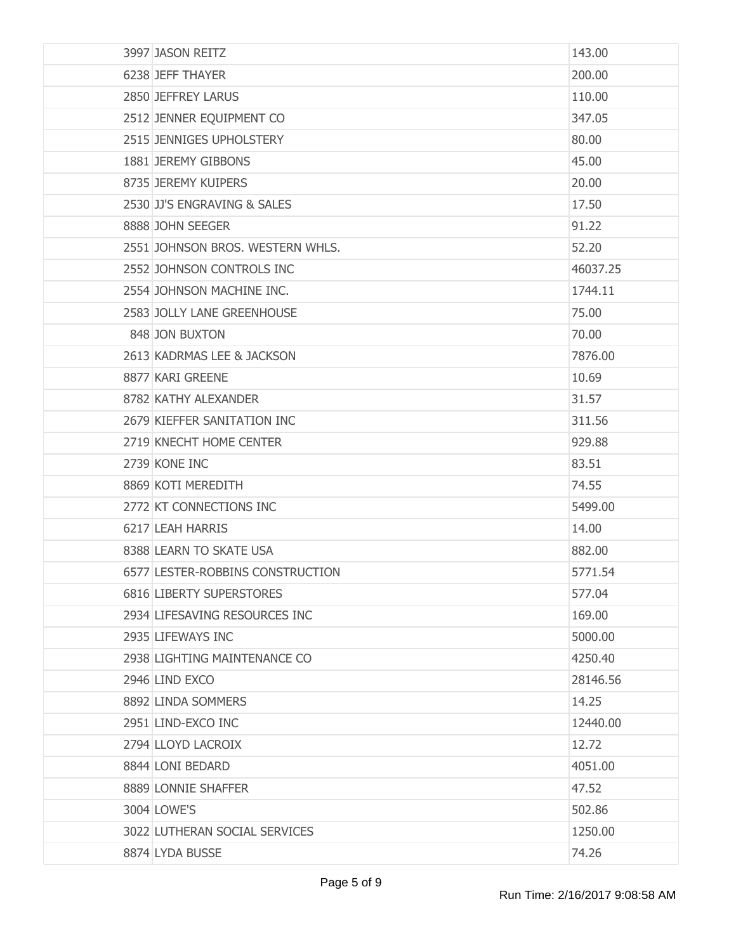| 3997 JASON REITZ                 | 143.00   |
|----------------------------------|----------|
| 6238 JEFF THAYER                 | 200.00   |
| 2850 JEFFREY LARUS               | 110.00   |
| 2512 JENNER EQUIPMENT CO         | 347.05   |
| 2515 JENNIGES UPHOLSTERY         | 80.00    |
| 1881 JEREMY GIBBONS              | 45.00    |
| 8735 JEREMY KUIPERS              | 20.00    |
| 2530 JJ'S ENGRAVING & SALES      | 17.50    |
| 8888 JOHN SEEGER                 | 91.22    |
| 2551 JOHNSON BROS. WESTERN WHLS. | 52.20    |
| 2552 JOHNSON CONTROLS INC        | 46037.25 |
| 2554 JOHNSON MACHINE INC.        | 1744.11  |
| 2583 JOLLY LANE GREENHOUSE       | 75.00    |
| 848 JON BUXTON                   | 70.00    |
| 2613 KADRMAS LEE & JACKSON       | 7876.00  |
| 8877 KARI GREENE                 | 10.69    |
| 8782 KATHY ALEXANDER             | 31.57    |
| 2679 KIEFFER SANITATION INC      | 311.56   |
| 2719 KNECHT HOME CENTER          | 929.88   |
| 2739 KONE INC                    | 83.51    |
| 8869 KOTI MEREDITH               | 74.55    |
| 2772 KT CONNECTIONS INC          | 5499.00  |
| 6217 LEAH HARRIS                 | 14.00    |
| 8388 LEARN TO SKATE USA          | 882.00   |
| 6577 LESTER-ROBBINS CONSTRUCTION | 5771.54  |
| 6816 LIBERTY SUPERSTORES         | 577.04   |
| 2934 LIFESAVING RESOURCES INC    | 169.00   |
| 2935 LIFEWAYS INC                | 5000.00  |
| 2938 LIGHTING MAINTENANCE CO     | 4250.40  |
| 2946 LIND EXCO                   | 28146.56 |
| 8892 LINDA SOMMERS               | 14.25    |
| 2951 LIND-EXCO INC               | 12440.00 |
| 2794 LLOYD LACROIX               | 12.72    |
| 8844 LONI BEDARD                 | 4051.00  |
| 8889 LONNIE SHAFFER              | 47.52    |
| 3004 LOWE'S                      | 502.86   |
| 3022 LUTHERAN SOCIAL SERVICES    | 1250.00  |
| 8874 LYDA BUSSE                  | 74.26    |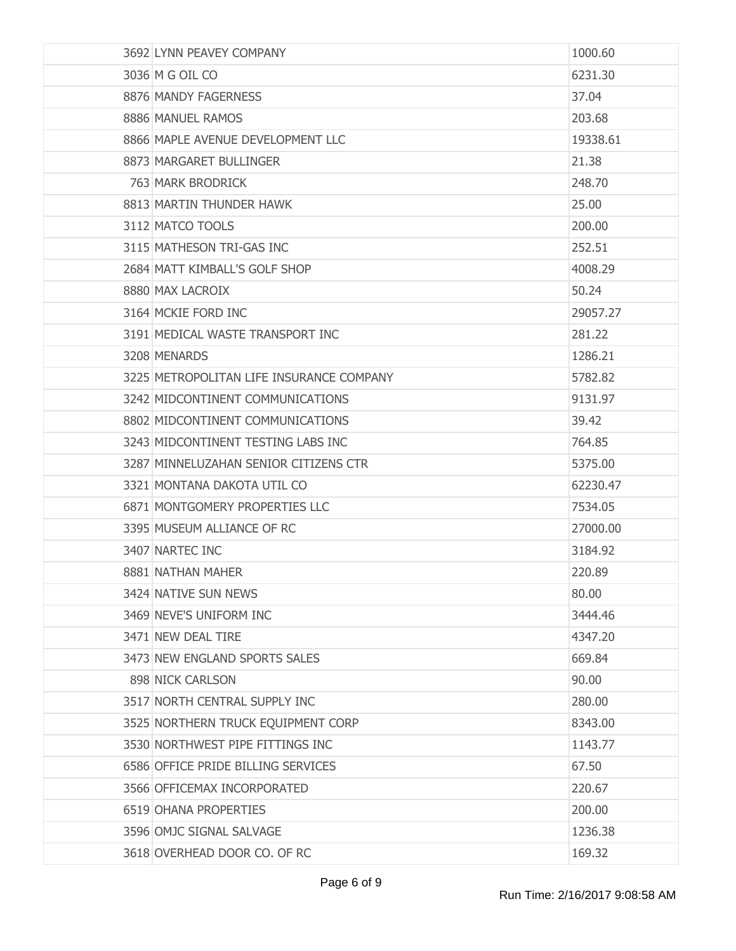| 3692 LYNN PEAVEY COMPANY                 | 1000.60  |
|------------------------------------------|----------|
| 3036 M G OIL CO                          | 6231.30  |
| 8876 MANDY FAGERNESS                     | 37.04    |
| 8886 MANUEL RAMOS                        | 203.68   |
| 8866 MAPLE AVENUE DEVELOPMENT LLC        | 19338.61 |
| 8873 MARGARET BULLINGER                  | 21.38    |
| 763 MARK BRODRICK                        | 248.70   |
| 8813 MARTIN THUNDER HAWK                 | 25,00    |
| 3112 MATCO TOOLS                         | 200.00   |
| 3115 MATHESON TRI-GAS INC                | 252.51   |
| 2684 MATT KIMBALL'S GOLF SHOP            | 4008.29  |
| 8880 MAX LACROIX                         | 50.24    |
| 3164 MCKIE FORD INC                      | 29057.27 |
| 3191 MEDICAL WASTE TRANSPORT INC         | 281.22   |
| 3208 MENARDS                             | 1286.21  |
| 3225 METROPOLITAN LIFE INSURANCE COMPANY | 5782.82  |
| 3242 MIDCONTINENT COMMUNICATIONS         | 9131.97  |
| 8802 MIDCONTINENT COMMUNICATIONS         | 39.42    |
| 3243 MIDCONTINENT TESTING LABS INC       | 764.85   |
| 3287 MINNELUZAHAN SENIOR CITIZENS CTR    | 5375.00  |
| 3321 MONTANA DAKOTA UTIL CO              | 62230.47 |
| 6871 MONTGOMERY PROPERTIES LLC           | 7534.05  |
| 3395 MUSEUM ALLIANCE OF RC               | 27000.00 |
| 3407 NARTEC INC                          | 3184.92  |
| 8881 NATHAN MAHER                        | 220.89   |
| 3424 NATIVE SUN NEWS                     | 80.00    |
| 3469 NEVE'S UNIFORM INC                  | 3444.46  |
| 3471 NEW DEAL TIRE                       | 4347.20  |
| 3473 NEW ENGLAND SPORTS SALES            | 669.84   |
| 898 NICK CARLSON                         | 90.00    |
| 3517 NORTH CENTRAL SUPPLY INC            | 280.00   |
| 3525 NORTHERN TRUCK EQUIPMENT CORP       | 8343.00  |
| 3530 NORTHWEST PIPE FITTINGS INC         | 1143.77  |
| 6586 OFFICE PRIDE BILLING SERVICES       | 67.50    |
| 3566 OFFICEMAX INCORPORATED              | 220.67   |
| 6519 OHANA PROPERTIES                    | 200.00   |
| 3596 OMJC SIGNAL SALVAGE                 | 1236.38  |
| 3618 OVERHEAD DOOR CO. OF RC             | 169.32   |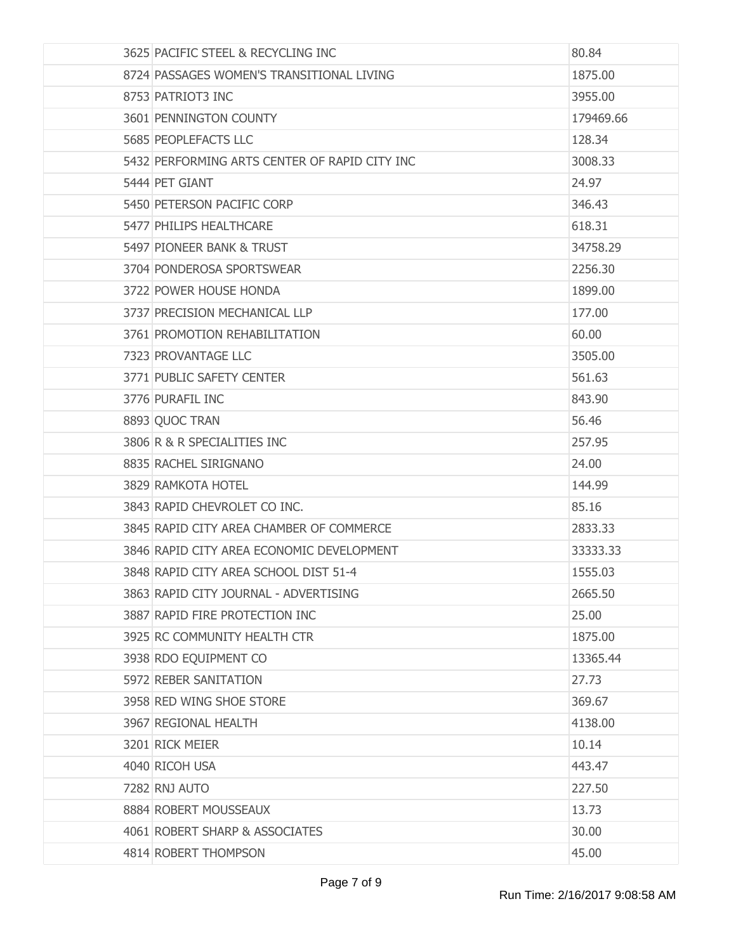| 3625 PACIFIC STEEL & RECYCLING INC            | 80.84     |
|-----------------------------------------------|-----------|
| 8724 PASSAGES WOMEN'S TRANSITIONAL LIVING     | 1875.00   |
| 8753 PATRIOT3 INC                             | 3955.00   |
| 3601 PENNINGTON COUNTY                        | 179469.66 |
| 5685 PEOPLEFACTS LLC                          | 128.34    |
| 5432 PERFORMING ARTS CENTER OF RAPID CITY INC | 3008.33   |
| 5444 PET GIANT                                | 24.97     |
| 5450 PETERSON PACIFIC CORP                    | 346.43    |
| 5477 PHILIPS HEALTHCARE                       | 618.31    |
| 5497 PIONEER BANK & TRUST                     | 34758.29  |
| 3704 PONDEROSA SPORTSWEAR                     | 2256.30   |
| 3722 POWER HOUSE HONDA                        | 1899,00   |
| 3737 PRECISION MECHANICAL LLP                 | 177.00    |
| 3761 PROMOTION REHABILITATION                 | 60.00     |
| 7323 PROVANTAGE LLC                           | 3505.00   |
| 3771 PUBLIC SAFETY CENTER                     | 561.63    |
| 3776 PURAFIL INC                              | 843.90    |
| 8893 QUOC TRAN                                | 56.46     |
| 3806 R & R SPECIALITIES INC                   | 257.95    |
| 8835 RACHEL SIRIGNANO                         | 24.00     |
| 3829 RAMKOTA HOTEL                            | 144.99    |
| 3843 RAPID CHEVROLET CO INC.                  | 85.16     |
| 3845 RAPID CITY AREA CHAMBER OF COMMERCE      | 2833.33   |
| 3846 RAPID CITY AREA ECONOMIC DEVELOPMENT     | 33333.33  |
| 3848 RAPID CITY AREA SCHOOL DIST 51-4         | 1555.03   |
| 3863 RAPID CITY JOURNAL - ADVERTISING         | 2665.50   |
| 3887 RAPID FIRE PROTECTION INC                | 25.00     |
| 3925 RC COMMUNITY HEALTH CTR                  | 1875.00   |
| 3938 RDO EQUIPMENT CO                         | 13365.44  |
| 5972 REBER SANITATION                         | 27.73     |
| 3958 RED WING SHOE STORE                      | 369.67    |
| 3967 REGIONAL HEALTH                          | 4138.00   |
| 3201 RICK MEIER                               | 10.14     |
| 4040 RICOH USA                                | 443.47    |
| 7282 RNJ AUTO                                 | 227.50    |
| 8884 ROBERT MOUSSEAUX                         | 13.73     |
| 4061 ROBERT SHARP & ASSOCIATES                | 30.00     |
| 4814 ROBERT THOMPSON                          | 45.00     |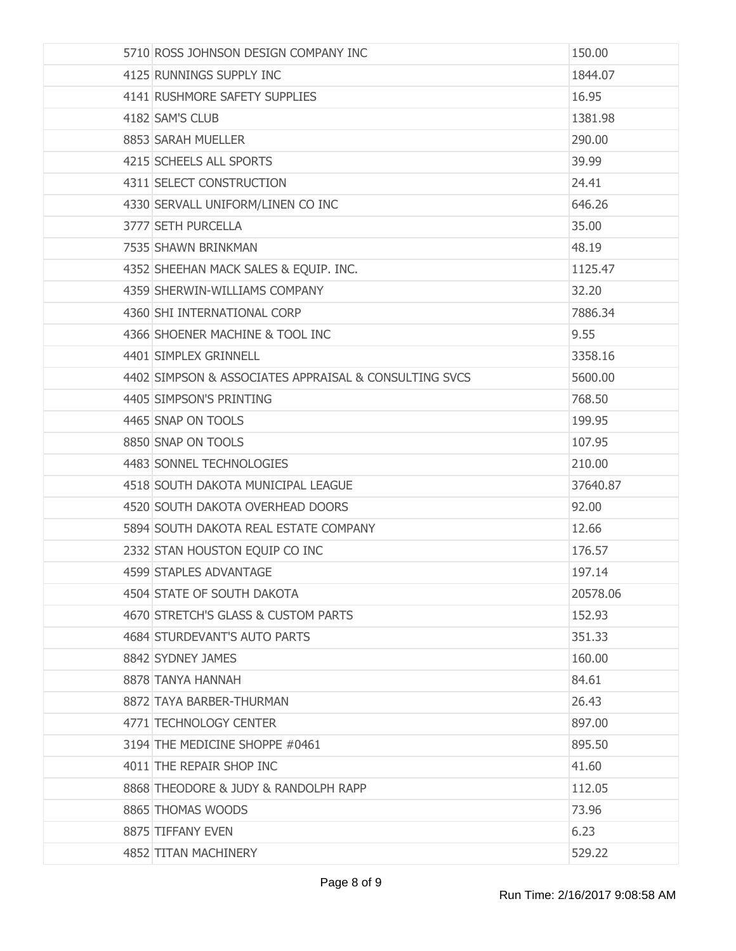| 5710 ROSS JOHNSON DESIGN COMPANY INC                  | 150.00   |
|-------------------------------------------------------|----------|
| 4125 RUNNINGS SUPPLY INC                              | 1844.07  |
| 4141 RUSHMORE SAFETY SUPPLIES                         | 16.95    |
| 4182 SAM'S CLUB                                       | 1381.98  |
| 8853 SARAH MUELLER                                    | 290.00   |
| 4215 SCHEELS ALL SPORTS                               | 39.99    |
| 4311 SELECT CONSTRUCTION                              | 24.41    |
| 4330 SERVALL UNIFORM/LINEN CO INC                     | 646.26   |
| 3777 SETH PURCELLA                                    | 35.00    |
| 7535 SHAWN BRINKMAN                                   | 48.19    |
| 4352 SHEEHAN MACK SALES & EQUIP. INC.                 | 1125.47  |
| 4359 SHERWIN-WILLIAMS COMPANY                         | 32.20    |
| 4360 SHI INTERNATIONAL CORP                           | 7886.34  |
| 4366 SHOENER MACHINE & TOOL INC                       | 9.55     |
| 4401 SIMPLEX GRINNELL                                 | 3358.16  |
| 4402 SIMPSON & ASSOCIATES APPRAISAL & CONSULTING SVCS | 5600.00  |
| 4405 SIMPSON'S PRINTING                               | 768.50   |
| 4465 SNAP ON TOOLS                                    | 199.95   |
| 8850 SNAP ON TOOLS                                    | 107.95   |
| 4483 SONNEL TECHNOLOGIES                              | 210.00   |
| 4518 SOUTH DAKOTA MUNICIPAL LEAGUE                    | 37640.87 |
| 4520 SOUTH DAKOTA OVERHEAD DOORS                      | 92.00    |
| 5894 SOUTH DAKOTA REAL ESTATE COMPANY                 | 12.66    |
| 2332 STAN HOUSTON EQUIP CO INC                        | 176.57   |
| 4599 STAPLES ADVANTAGE                                | 197.14   |
| 4504 STATE OF SOUTH DAKOTA                            | 20578.06 |
| 4670 STRETCH'S GLASS & CUSTOM PARTS                   | 152.93   |
| 4684 STURDEVANT'S AUTO PARTS                          | 351.33   |
| 8842 SYDNEY JAMES                                     | 160.00   |
| 8878 TANYA HANNAH                                     | 84.61    |
| 8872 TAYA BARBER-THURMAN                              | 26.43    |
| 4771 TECHNOLOGY CENTER                                | 897.00   |
| 3194 THE MEDICINE SHOPPE #0461                        | 895.50   |
| 4011 THE REPAIR SHOP INC                              | 41.60    |
| 8868 THEODORE & JUDY & RANDOLPH RAPP                  | 112.05   |
| 8865 THOMAS WOODS                                     | 73.96    |
| 8875 TIFFANY EVEN                                     | 6.23     |
| 4852 TITAN MACHINERY                                  | 529.22   |